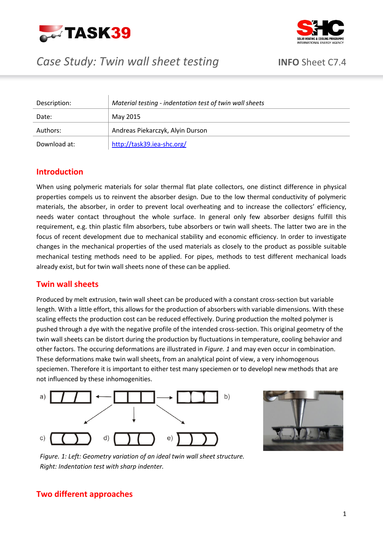



# *Case Study: Twin wall sheet testing* **INFO** Sheet C7.4

# Description: *Material testing - indentation test of twin wall sheets* Date: May 2015

| Authors: I   | Andreas Piekarczyk, Alyin Durson |
|--------------|----------------------------------|
| Download at: | http://task39.iea-shc.org/       |

### **Introduction**

When using polymeric materials for solar thermal flat plate collectors, one distinct difference in physical properties compels us to reinvent the absorber design. Due to the low thermal conductivity of polymeric materials, the absorber, in order to prevent local overheating and to increase the collectors' efficiency, needs water contact throughout the whole surface. In general only few absorber designs fulfill this requirement, e.g. thin plastic film absorbers, tube absorbers or twin wall sheets. The latter two are in the focus of recent development due to mechanical stability and economic efficiency. In order to investigate changes in the mechanical properties of the used materials as closely to the product as possible suitable mechanical testing methods need to be applied. For pipes, methods to test different mechanical loads already exist, but for twin wall sheets none of these can be applied.

#### **Twin wall sheets**

Produced by melt extrusion, twin wall sheet can be produced with a constant cross-section but variable length. With a little effort, this allows for the production of absorbers with variable dimensions. With these scaling effects the production cost can be reduced effectively. During production the molted polymer is pushed through a dye with the negative profile of the intended cross-section. This original geometry of the twin wall sheets can be distort during the production by fluctuations in temperature, cooling behavior and other factors. The occuring deformations are illustrated in *[Figure. 1](#page-0-0)* and may even occur in combination. These deformations make twin wall sheets, from an analytical point of view, a very inhomogenous speciemen. Therefore it is important to either test many speciemen or to developl new methods that are not influenced by these inhomogenities.





*Figure. 1: Left: Geometry variation of an ideal twin wall sheet structure. Right: Indentation test with sharp indenter.*

#### <span id="page-0-0"></span>**Two different approaches**